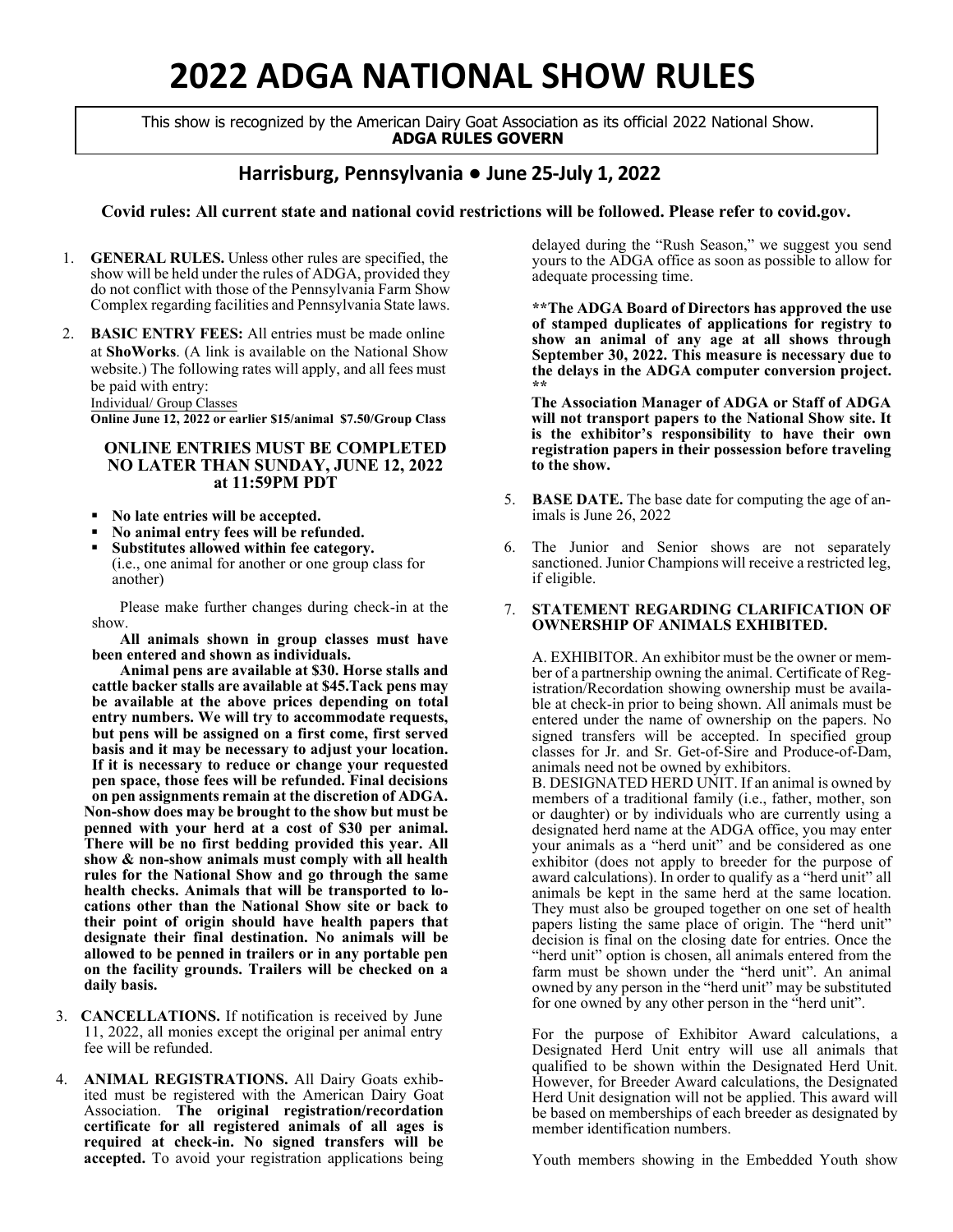# **2022 ADGA NATIONAL SHOW RULES**

This show is recognized by the American Dairy Goat Association as its official 2022 National Show. **ADGA RULES GOVERN**

### **Harrisburg, Pennsylvania** ● **June 25-July 1, 2022**

### **Covid rules: All current state and national covid restrictions will be followed. Please refer to covid.gov.**

- 1. **GENERAL RULES.** Unless other rules are specified, the show will be held under the rules of ADGA, provided they do not conflict with those of the Pennsylvania Farm Show Complex regarding facilities and Pennsylvania State laws.
- 2. **BASIC ENTRY FEES:** All entries must be made online at **ShoWorks**. (A link is available on the National Show website.) The following rates will apply, and all fees must be paid with entry:

Individual/ Group Classes

**Online June 12, 2022 or earlier \$15/animal \$7.50/Group Class**

### **ONLINE ENTRIES MUST BE COMPLETED NO LATER THAN SUNDAY, JUNE 12, 2022 at 11:59PM PDT**

- **No late entries will be accepted.**
- **No animal entry fees will be refunded.**
- **Substitutes allowed within fee category.** (i.e., one animal for another or one group class for another)

Please make further changes during check-in at the show.

**All animals shown in group classes must have been entered and shown as individuals.**

**Animal pens are available at \$30. Horse stalls and cattle backer stalls are available at \$45.Tack pens may be available at the above prices depending on total entry numbers. We will try to accommodate requests, but pens will be assigned on a first come, first served basis and it may be necessary to adjust your location. If it is necessary to reduce or change your requested pen space, those fees will be refunded. Final decisions on pen assignments remain at the discretion of ADGA. Non-show does may be brought to the show but must be penned with your herd at a cost of \$30 per animal. There will be no first bedding provided this year. All show & non-show animals must comply with all health rules for the National Show and go through the same health checks. Animals that will be transported to locations other than the National Show site or back to their point of origin should have health papers that designate their final destination. No animals will be allowed to be penned in trailers or in any portable pen on the facility grounds. Trailers will be checked on a daily basis.**

- 3. **CANCELLATIONS.** If notification is received by June 11, 2022, all monies except the original per animal entry fee will be refunded.
- 4. **ANIMAL REGISTRATIONS.** All Dairy Goats exhibited must be registered with the American Dairy Goat Association. **The original registration/recordation certificate for all registered animals of all ages is required at check-in. No signed transfers will be accepted.** To avoid your registration applications being

delayed during the "Rush Season," we suggest you send yours to the ADGA office as soon as possible to allow for adequate processing time.

**\*\*The ADGA Board of Directors has approved the use of stamped duplicates of applications for registry to show an animal of any age at all shows through September 30, 2022. This measure is necessary due to the delays in the ADGA computer conversion project. \*\*** 

**The Association Manager of ADGA or Staff of ADGA will not transport papers to the National Show site. It is the exhibitor's responsibility to have their own registration papers in their possession before traveling to the show.**

- 5. **BASE DATE.** The base date for computing the age of animals is June 26, 2022
- 6. The Junior and Senior shows are not separately sanctioned. Junior Champions will receive a restricted leg, if eligible.

### 7. **STATEMENT REGARDING CLARIFICATION OF OWNERSHIP OF ANIMALS EXHIBITED.**

A. EXHIBITOR. An exhibitor must be the owner or member of a partnership owning the animal. Certificate of Registration/Recordation showing ownership must be available at check-in prior to being shown. All animals must be entered under the name of ownership on the papers. No signed transfers will be accepted. In specified group classes for Jr. and Sr. Get-of-Sire and Produce-of-Dam, animals need not be owned by exhibitors.

B. DESIGNATED HERD UNIT. If an animal is owned by members of a traditional family (i.e., father, mother, son or daughter) or by individuals who are currently using a designated herd name at the ADGA office, you may enter your animals as a "herd unit" and be considered as one exhibitor (does not apply to breeder for the purpose of award calculations). In order to qualify as a "herd unit" all animals be kept in the same herd at the same location. They must also be grouped together on one set of health papers listing the same place of origin. The "herd unit" decision is final on the closing date for entries. Once the "herd unit" option is chosen, all animals entered from the farm must be shown under the "herd unit". An animal owned by any person in the "herd unit" may be substituted for one owned by any other person in the "herd unit".

For the purpose of Exhibitor Award calculations, a Designated Herd Unit entry will use all animals that qualified to be shown within the Designated Herd Unit. However, for Breeder Award calculations, the Designated Herd Unit designation will not be applied. This award will be based on memberships of each breeder as designated by member identification numbers.

Youth members showing in the Embedded Youth show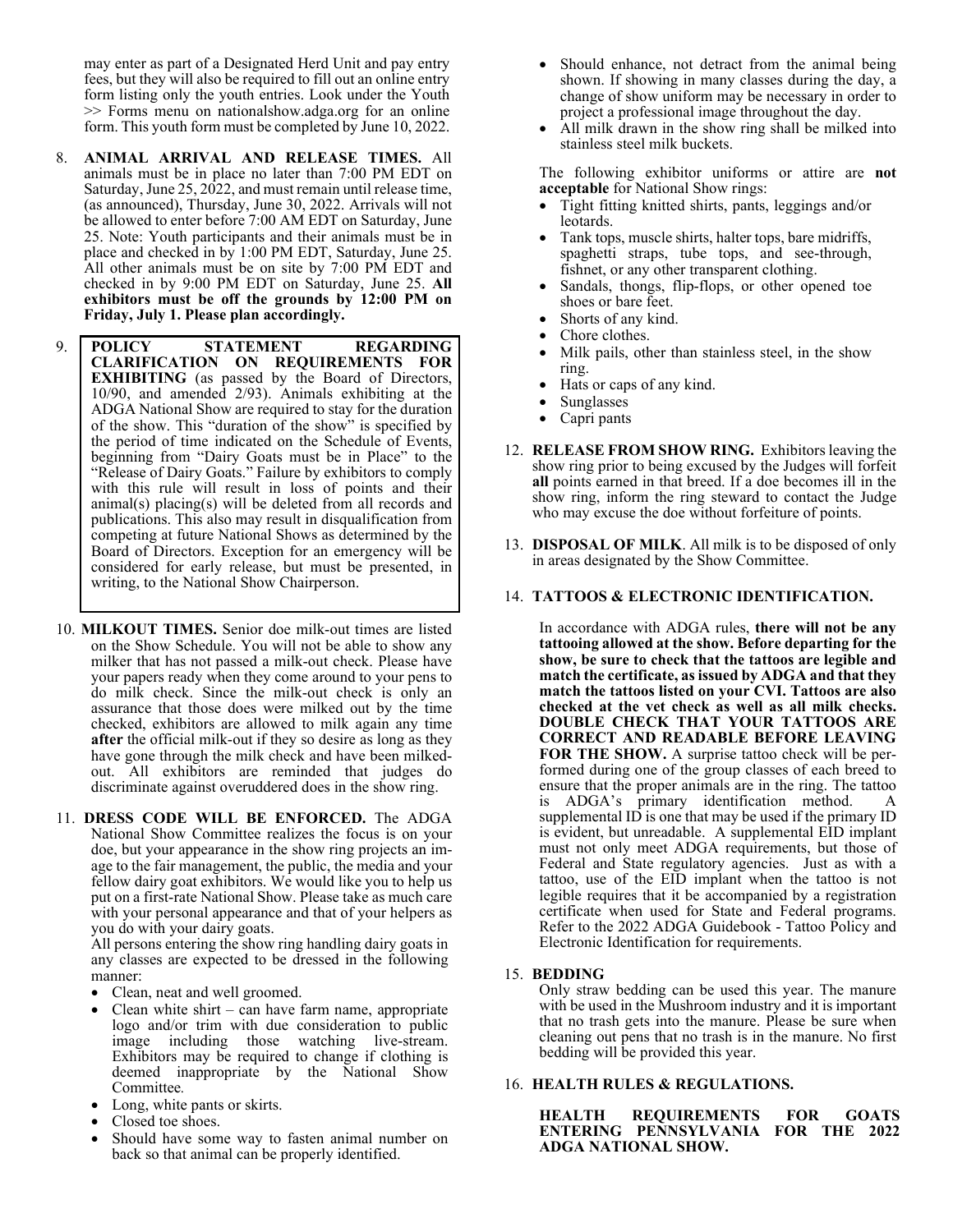may enter as part of a Designated Herd Unit and pay entry fees, but they will also be required to fill out an online entry form listing only the youth entries. Look under the Youth >> Forms menu on nationalshow.adga.org for an online form. This youth form must be completed by June 10, 2022.

- 8. **ANIMAL ARRIVAL AND RELEASE TIMES.** All animals must be in place no later than 7:00 PM EDT on Saturday, June 25, 2022, and must remain until release time, (as announced), Thursday, June 30, 2022. Arrivals will not be allowed to enter before 7:00 AM EDT on Saturday, June 25. Note: Youth participants and their animals must be in place and checked in by 1:00 PM EDT, Saturday, June 25. All other animals must be on site by 7:00 PM EDT and checked in by 9:00 PM EDT on Saturday, June 25. **All exhibitors must be off the grounds by 12:00 PM on Friday, July 1. Please plan accordingly.**
- 9. **POLICY STATEMENT REGARDING CLARIFICATION ON REQUIREMENTS FOR EXHIBITING** (as passed by the Board of Directors, 10/90, and amended 2/93). Animals exhibiting at the ADGA National Show are required to stay for the duration of the show. This "duration of the show" is specified by the period of time indicated on the Schedule of Events, beginning from "Dairy Goats must be in Place" to the "Release of Dairy Goats." Failure by exhibitors to comply with this rule will result in loss of points and their animal(s) placing(s) will be deleted from all records and publications. This also may result in disqualification from competing at future National Shows as determined by the Board of Directors. Exception for an emergency will be considered for early release, but must be presented, in writing, to the National Show Chairperson.
- 10. **MILKOUT TIMES.** Senior doe milk-out times are listed on the Show Schedule. You will not be able to show any milker that has not passed a milk-out check. Please have your papers ready when they come around to your pens to do milk check. Since the milk-out check is only an assurance that those does were milked out by the time checked, exhibitors are allowed to milk again any time **after** the official milk-out if they so desire as long as they have gone through the milk check and have been milkedout. All exhibitors are reminded that judges do discriminate against overuddered does in the show ring.
- 11. **DRESS CODE WILL BE ENFORCED.** The ADGA National Show Committee realizes the focus is on your doe, but your appearance in the show ring projects an image to the fair management, the public, the media and your fellow dairy goat exhibitors. We would like you to help us put on a first-rate National Show. Please take as much care with your personal appearance and that of your helpers as you do with your dairy goats.

All persons entering the show ring handling dairy goats in any classes are expected to be dressed in the following manner:

- Clean, neat and well groomed.
- Clean white shirt can have farm name, appropriate logo and/or trim with due consideration to public image including those watching live-stream. Exhibitors may be required to change if clothing is deemed inappropriate by the National Show Committee*.*
- Long, white pants or skirts.
- Closed toe shoes.
- Should have some way to fasten animal number on back so that animal can be properly identified.
- Should enhance, not detract from the animal being shown. If showing in many classes during the day, a change of show uniform may be necessary in order to project a professional image throughout the day.
- All milk drawn in the show ring shall be milked into stainless steel milk buckets.

The following exhibitor uniforms or attire are **not acceptable** for National Show rings:

- Tight fitting knitted shirts, pants, leggings and/or leotards.
- Tank tops, muscle shirts, halter tops, bare midriffs, spaghetti straps, tube tops, and see-through, fishnet, or any other transparent clothing.
- Sandals, thongs, flip-flops, or other opened toe shoes or bare feet.
- Shorts of any kind.
- Chore clothes.
- Milk pails, other than stainless steel, in the show ring.
- Hats or caps of any kind.
- **Sunglasses**
- Capri pants
- 12. **RELEASE FROM SHOW RING.** Exhibitors leaving the show ring prior to being excused by the Judges will forfeit **all** points earned in that breed. If a doe becomes ill in the show ring, inform the ring steward to contact the Judge who may excuse the doe without forfeiture of points.
- 13. **DISPOSAL OF MILK**. All milk is to be disposed of only in areas designated by the Show Committee.
- 14. **TATTOOS & ELECTRONIC IDENTIFICATION.**

In accordance with ADGA rules, **there will not be any tattooing allowed at the show. Before departing for the show, be sure to check that the tattoos are legible and match the certificate, as issued by ADGA and that they match the tattoos listed on your CVI. Tattoos are also checked at the vet check as well as all milk checks. DOUBLE CHECK THAT YOUR TATTOOS ARE CORRECT AND READABLE BEFORE LEAVING FOR THE SHOW.** A surprise tattoo check will be performed during one of the group classes of each breed to ensure that the proper animals are in the ring. The tattoo is ADGA's primary identification method. supplemental  $ID$  is one that may be used if the primary  $ID$ is evident, but unreadable. A supplemental EID implant must not only meet ADGA requirements, but those of Federal and State regulatory agencies. Just as with a tattoo, use of the EID implant when the tattoo is not legible requires that it be accompanied by a registration certificate when used for State and Federal programs. Refer to the 2022 ADGA Guidebook - Tattoo Policy and Electronic Identification for requirements.

15. **BEDDING**

Only straw bedding can be used this year. The manure with be used in the Mushroom industry and it is important that no trash gets into the manure. Please be sure when cleaning out pens that no trash is in the manure. No first bedding will be provided this year.

### 16. **HEALTH RULES & REGULATIONS.**

**HEALTH REQUIREMENTS FOR GOATS ENTERING PENNSYLVANIA FOR THE 2022 ADGA NATIONAL SHOW.**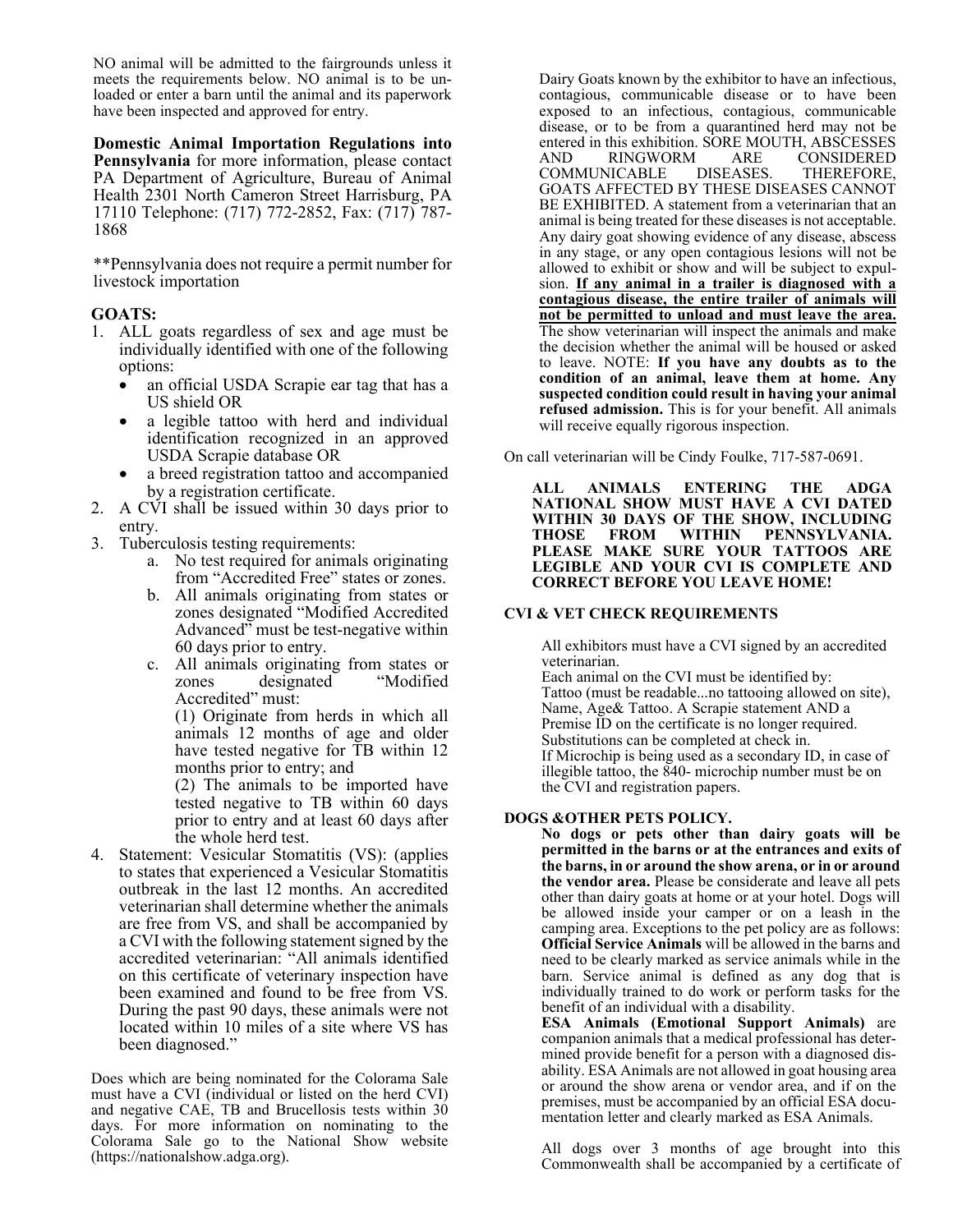NO animal will be admitted to the fairgrounds unless it meets the requirements below. NO animal is to be unloaded or enter a barn until the animal and its paperwork have been inspected and approved for entry.

**Domestic Animal Importation Regulations into Pennsylvania** for more information, please contact PA Department of Agriculture, Bureau of Animal Health 2301 North Cameron Street Harrisburg, PA 17110 Telephone: (717) 772-2852, Fax: (717) 787- <sup>1868</sup>

\*\*Pennsylvania does not require a permit number for livestock importation

### **GOATS:**

- 1. ALL goats regardless of sex and age must be individually identified with one of the following options:
	- an official USDA Scrapie ear tag that has a US shield OR
	- a legible tattoo with herd and individual identification recognized in an approved USDA Scrapie database OR
	- a breed registration tattoo and accompanied by a registration certificate.
- 2. A CVI shall be issued within 30 days prior to entry.
- 3. Tuberculosis testing requirements:
	- a. No test required for animals originating from "Accredited Free" states or zones.
	- b. All animals originating from states or zones designated "Modified Accredited Advanced" must be test-negative within 60 days prior to entry.
	- c. All animals originating from states or zones designated "Modified Accredited" must:

(1) Originate from herds in which all animals 12 months of age and older have tested negative for TB within 12 months prior to entry; and

(2) The animals to be imported have tested negative to TB within 60 days prior to entry and at least 60 days after the whole herd test.

4. Statement: Vesicular Stomatitis (VS): (applies to states that experienced a Vesicular Stomatitis outbreak in the last 12 months. An accredited veterinarian shall determine whether the animals are free from VS, and shall be accompanied by a CVI with the following statement signed by the accredited veterinarian: "All animals identified on this certificate of veterinary inspection have been examined and found to be free from VS. During the past 90 days, these animals were not located within 10 miles of a site where VS has been diagnosed."

Does which are being nominated for the Colorama Sale must have a CVI (individual or listed on the herd CVI) and negative CAE, TB and Brucellosis tests within 30 days. For more information on nominating to the Colorama Sale go to the National Show website (https://nationalshow.adga.org).

Dairy Goats known by the exhibitor to have an infectious, contagious, communicable disease or to have been exposed to an infectious, contagious, communicable disease, or to be from a quarantined herd may not be entered in this exhibition. SORE MOUTH, ABSCESSES AND RINGWORM ARE CONSIDERED<br>COMMUNICABLE DISEASES. THEREFORE, COMMUNICABLE DISEASES. THEREFORE, GOATS AFFECTED BY THESE DISEASES CANNOT BE EXHIBITED. A statement from a veterinarian that an animal is being treated for these diseases is not acceptable. Any dairy goat showing evidence of any disease, abscess in any stage, or any open contagious lesions will not be allowed to exhibit or show and will be subject to expulsion. **If any animal in a trailer is diagnosed with a contagious disease, the entire trailer of animals will not be permitted to unload and must leave the area.** The show veterinarian will inspect the animals and make the decision whether the animal will be housed or asked to leave. NOTE: **If you have any doubts as to the condition of an animal, leave them at home. Any suspected condition could result in having your animal refused admission.** This is for your benefit. All animals will receive equally rigorous inspection.

On call veterinarian will be Cindy Foulke, 717-587-0691.

**ALL ANIMALS ENTERING THE ADGA NATIONAL SHOW MUST HAVE A CVI DATED WITHIN 30 DAYS OF THE SHOW, INCLUDING THOSE FROM WITHIN PENNSYLVANIA. PLEASE MAKE SURE YOUR TATTOOS ARE LEGIBLE AND YOUR CVI IS COMPLETE AND CORRECT BEFORE YOU LEAVE HOME!** 

### **CVI & VET CHECK REQUIREMENTS**

All exhibitors must have a CVI signed by an accredited veterinarian.

Each animal on the CVI must be identified by: Tattoo (must be readable...no tattooing allowed on site), Name, Age& Tattoo. A Scrapie statement AND a Premise ID on the certificate is no longer required. Substitutions can be completed at check in. If Microchip is being used as a secondary ID, in case of illegible tattoo, the 840- microchip number must be on the CVI and registration papers.

### **DOGS &OTHER PETS POLICY.**

**No dogs or pets other than dairy goats will be permitted in the barns or at the entrances and exits of the barns, in or around the show arena, or in or around the vendor area.** Please be considerate and leave all pets other than dairy goats at home or at your hotel. Dogs will be allowed inside your camper or on a leash in the camping area. Exceptions to the pet policy are as follows: **Official Service Animals** will be allowed in the barns and need to be clearly marked as service animals while in the barn. Service animal is defined as any dog that is individually trained to do work or perform tasks for the benefit of an individual with a disability.

**ESA Animals (Emotional Support Animals)** are companion animals that a medical professional has determined provide benefit for a person with a diagnosed disability. ESA Animals are not allowed in goat housing area or around the show arena or vendor area, and if on the premises, must be accompanied by an official ESA documentation letter and clearly marked as ESA Animals.

All dogs over 3 months of age brought into this Commonwealth shall be accompanied by a certificate of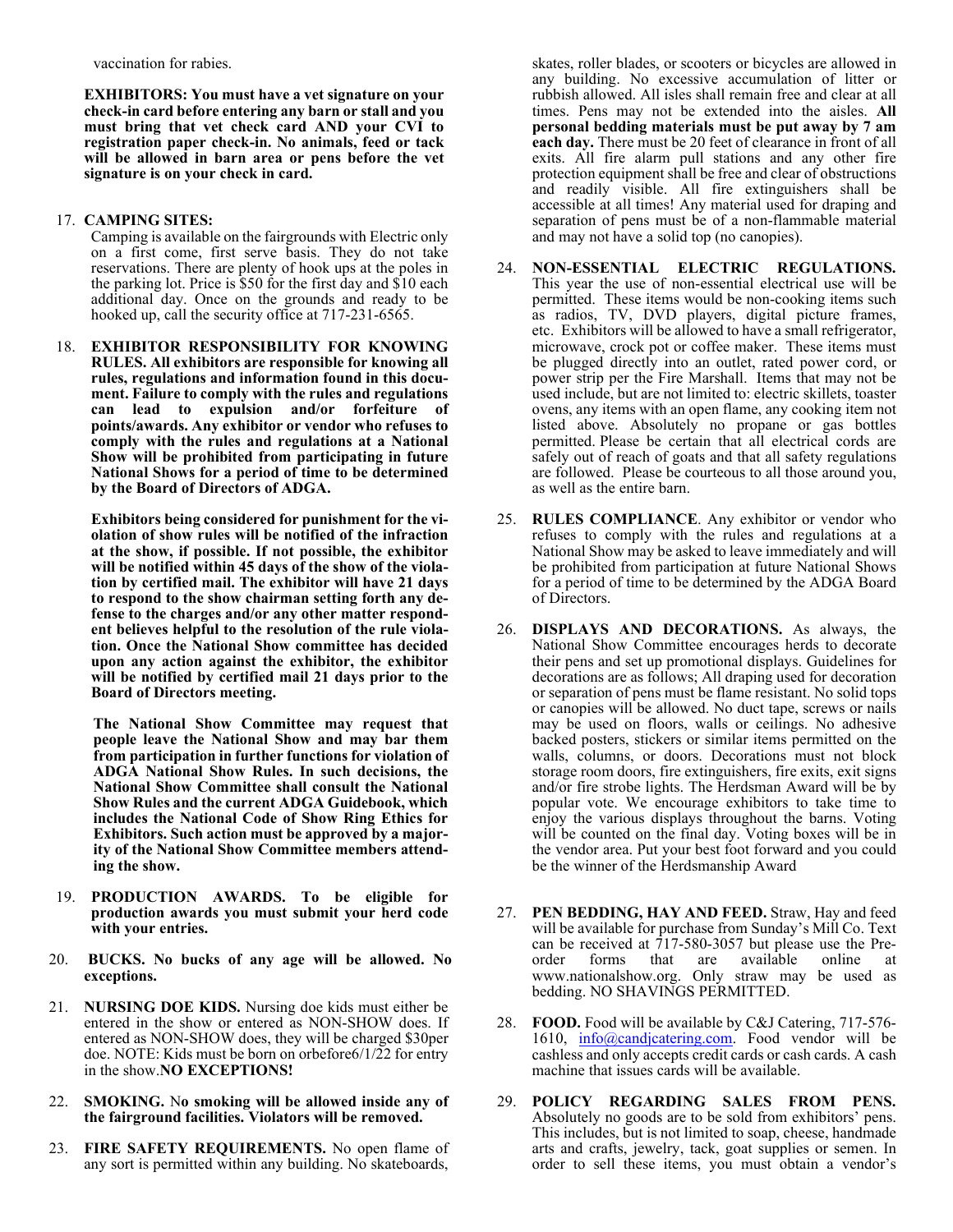vaccination for rabies.

**EXHIBITORS: You must have a vet signature on your check-in card before entering any barn or stall and you must bring that vet check card AND your CVI to registration paper check-in. No animals, feed or tack will be allowed in barn area or pens before the vet signature is on your check in card.**

### 17. **CAMPING SITES:**

Camping is available on the fairgrounds with Electric only on a first come, first serve basis. They do not take reservations. There are plenty of hook ups at the poles in the parking lot. Price is \$50 for the first day and \$10 each additional day. Once on the grounds and ready to be hooked up, call the security office at 717-231-6565.

18. **EXHIBITOR RESPONSIBILITY FOR KNOWING RULES. All exhibitors are responsible for knowing all rules, regulations and information found in this document. Failure to comply with the rules and regulations can lead to expulsion and/or forfeiture of points/awards. Any exhibitor or vendor who refuses to comply with the rules and regulations at a National Show will be prohibited from participating in future National Shows for a period of time to be determined by the Board of Directors of ADGA.**

**Exhibitors being considered for punishment for the violation of show rules will be notified of the infraction at the show, if possible. If not possible, the exhibitor will be notified within 45 days of the show of the violation by certified mail. The exhibitor will have 21 days to respond to the show chairman setting forth any defense to the charges and/or any other matter respondent believes helpful to the resolution of the rule violation. Once the National Show committee has decided upon any action against the exhibitor, the exhibitor will be notified by certified mail 21 days prior to the Board of Directors meeting.** 

**The National Show Committee may request that people leave the National Show and may bar them from participation in further functions for violation of ADGA National Show Rules. In such decisions, the National Show Committee shall consult the National Show Rules and the current ADGA Guidebook, which includes the National Code of Show Ring Ethics for Exhibitors. Such action must be approved by a majority of the National Show Committee members attending the show.**

- 19. **PRODUCTION AWARDS. To be eligible for production awards you must submit your herd code with your entries.**
- 20. **BUCKS. No bucks of any age will be allowed. No exceptions.**
- 21. **NURSING DOE KIDS.** Nursing doe kids must either be entered in the show or entered as NON-SHOW does. If entered as NON-SHOW does, they will be charged \$30per doe. NOTE: Kids must be born on orbefore6/1/22 for entry in the show.**NO EXCEPTIONS!**
- 22. **SMOKING.** N**o smoking will be allowed inside any of the fairground facilities. Violators will be removed.**
- 23. **FIRE SAFETY REQUIREMENTS.** No open flame of any sort is permitted within any building. No skateboards,

skates, roller blades, or scooters or bicycles are allowed in any building. No excessive accumulation of litter or rubbish allowed. All isles shall remain free and clear at all times. Pens may not be extended into the aisles. **All personal bedding materials must be put away by 7 am each day.** There must be 20 feet of clearance in front of all exits. All fire alarm pull stations and any other fire protection equipment shall be free and clear of obstructions and readily visible. All fire extinguishers shall be accessible at all times! Any material used for draping and separation of pens must be of a non-flammable material and may not have a solid top (no canopies).

- 24. **NON-ESSENTIAL ELECTRIC REGULATIONS.**  This year the use of non-essential electrical use will be permitted. These items would be non-cooking items such as radios, TV, DVD players, digital picture frames, etc. Exhibitors will be allowed to have a small refrigerator, microwave, crock pot or coffee maker. These items must be plugged directly into an outlet, rated power cord, or power strip per the Fire Marshall. Items that may not be used include, but are not limited to: electric skillets, toaster ovens, any items with an open flame, any cooking item not listed above. Absolutely no propane or gas bottles permitted. Please be certain that all electrical cords are safely out of reach of goats and that all safety regulations are followed. Please be courteous to all those around you, as well as the entire barn.
- 25. **RULES COMPLIANCE**. Any exhibitor or vendor who refuses to comply with the rules and regulations at a National Show may be asked to leave immediately and will be prohibited from participation at future National Shows for a period of time to be determined by the ADGA Board of Directors.
- 26. **DISPLAYS AND DECORATIONS.** As always, the National Show Committee encourages herds to decorate their pens and set up promotional displays. Guidelines for decorations are as follows; All draping used for decoration or separation of pens must be flame resistant. No solid tops or canopies will be allowed. No duct tape, screws or nails may be used on floors, walls or ceilings. No adhesive backed posters, stickers or similar items permitted on the walls, columns, or doors. Decorations must not block storage room doors, fire extinguishers, fire exits, exit signs and/or fire strobe lights. The Herdsman Award will be by popular vote. We encourage exhibitors to take time to enjoy the various displays throughout the barns. Voting will be counted on the final day. Voting boxes will be in the vendor area. Put your best foot forward and you could be the winner of the Herdsmanship Award
- 27. **PEN BEDDING, HAY AND FEED.** Straw, Hay and feed will be available for purchase from Sunday's Mill Co. Text can be received at  $717-580-3057$  but please use the Preorder forms that are available online at www.nationalshow.org. Only straw may be used as bedding. NO SHAVINGS PERMITTED.
- 28. **FOOD.** Food will be available by C&J Catering, 717-576 1610, [info@candjcatering.com.](mailto:info@candjcatering.com) Food vendor will be cashless and only accepts credit cards or cash cards. A cash machine that issues cards will be available.
- 29. **POLICY REGARDING SALES FROM PENS.**  Absolutely no goods are to be sold from exhibitors' pens. This includes, but is not limited to soap, cheese, handmade arts and crafts, jewelry, tack, goat supplies or semen. In order to sell these items, you must obtain a vendor's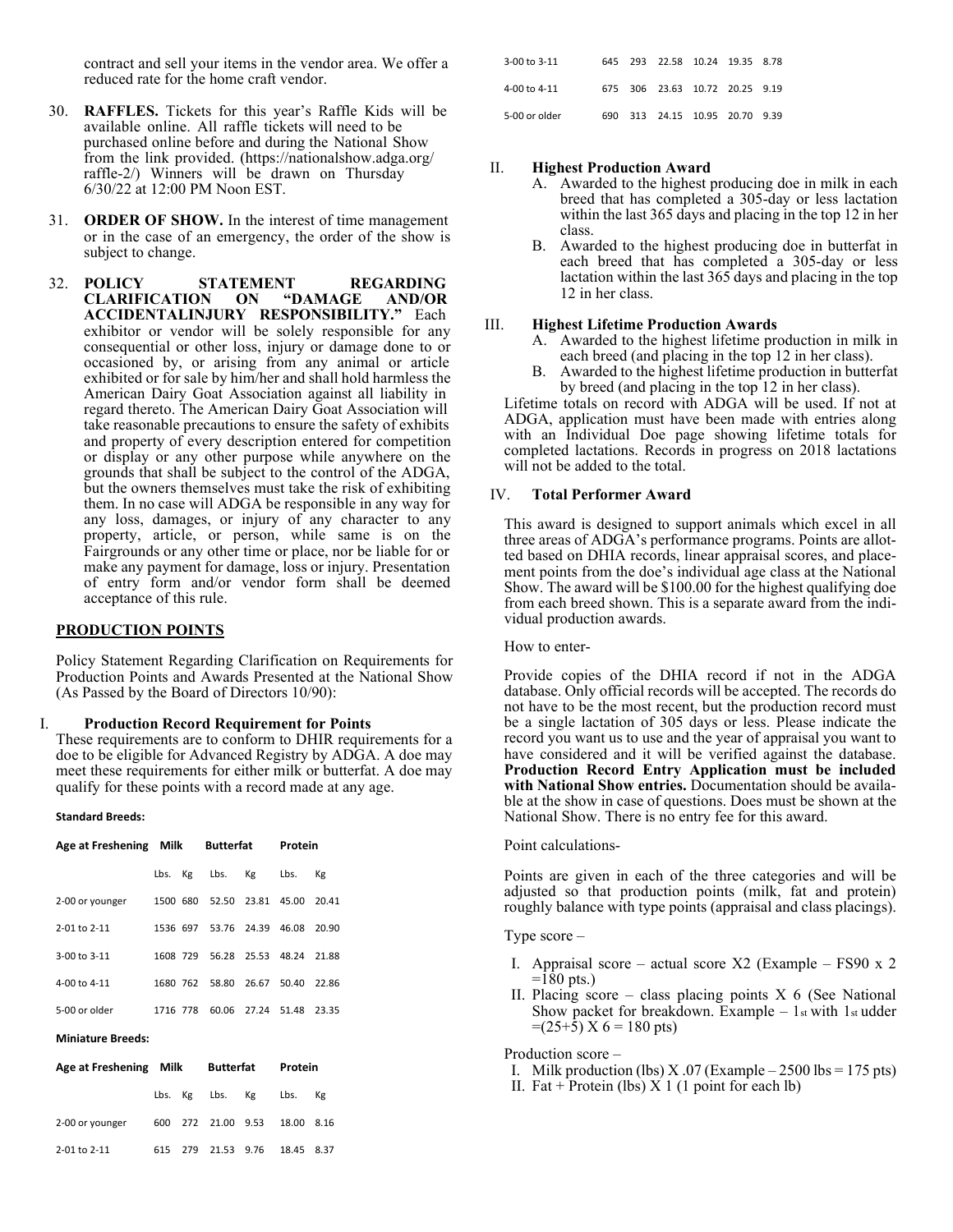contract and sell your items in the vendor area. We offer a reduced rate for the home craft vendor.

- 30. **RAFFLES.** Tickets for this year's Raffle Kids will be available online. All raffle tickets will need to be purchased online before and during the National Show from the link provided. (https://nationalshow.adga.org/ raffle-2/) Winners will be drawn on Thursday 6/30/22 at 12:00 PM Noon EST.
- 31. **ORDER OF SHOW.** In the interest of time management or in the case of an emergency, the order of the show is subject to change.
- 32. **POLICY STATEMENT REGARDING CLARIFICATION ON "DAMAGE AND/OR ACCIDENTALINJURY RESPONSIBILITY."** Each exhibitor or vendor will be solely responsible for any consequential or other loss, injury or damage done to or occasioned by, or arising from any animal or article exhibited or for sale by him/her and shall hold harmless the American Dairy Goat Association against all liability in regard thereto. The American Dairy Goat Association will take reasonable precautions to ensure the safety of exhibits and property of every description entered for competition or display or any other purpose while anywhere on the grounds that shall be subject to the control of the ADGA, but the owners themselves must take the risk of exhibiting them. In no case will ADGA be responsible in any way for any loss, damages, or injury of any character to any property, article, or person, while same is on the Fairgrounds or any other time or place, nor be liable for or make any payment for damage, loss or injury. Presentation of entry form and/or vendor form shall be deemed acceptance of this rule.

### **PRODUCTION POINTS**

Policy Statement Regarding Clarification on Requirements for Production Points and Awards Presented at the National Show (As Passed by the Board of Directors 10/90):

#### I. **Production Record Requirement for Points**

These requirements are to conform to DHIR requirements for a doe to be eligible for Advanced Registry by ADGA. A doe may meet these requirements for either milk or butterfat. A doe may qualify for these points with a record made at any age.

#### **Standard Breeds:**

| Age at Freshening Milk |          |  | <b>Butterfat</b>           |                   | Protein                 |         |  |
|------------------------|----------|--|----------------------------|-------------------|-------------------------|---------|--|
|                        |          |  | Lbs. Kg Lbs.               | Кg                | Lbs.                    | Кg      |  |
| 2-00 or younger        |          |  | 1500 680 52.50 23.81 45.00 |                   |                         | 20.41   |  |
| $2 - 01$ to $2 - 11$   | 1536 697 |  |                            | 53.76 24.39       | 46.08                   | 20.90   |  |
| 3-00 to 3-11           | 1608 729 |  |                            |                   | 56.28 25.53 48.24 21.88 |         |  |
| 4-00 to 4-11           | 1680 762 |  |                            | 58.80 26.67 50.40 |                         | - 22.86 |  |
| 5-00 or older          | 1716 778 |  |                            | 60.06 27.24 51.48 |                         | 23.35   |  |

#### **Miniature Breeds:**

| Age at Freshening Milk |         | Butterfat          | Protein    |    |
|------------------------|---------|--------------------|------------|----|
|                        |         | Lbs. Kg Lbs. Kg    | Lbs.       | Kg |
| 2-00 or younger        |         | 600 272 21.00 9.53 | 18.00 8.16 |    |
| 2-01 to 2-11           | 615 279 | 21.53 9.76         | 18.45 8.37 |    |

| 3-00 to 3-11  |  | 645 293 22.58 10.24 19.35 8.78 |  |  |
|---------------|--|--------------------------------|--|--|
| 4-00 to 4-11  |  | 675 306 23.63 10.72 20.25 9.19 |  |  |
| 5-00 or older |  | 690 313 24.15 10.95 20.70 9.39 |  |  |

#### II. **Highest Production Award**

- A. Awarded to the highest producing doe in milk in each breed that has completed a 305-day or less lactation within the last 365 days and placing in the top 12 in her class.
	- B. Awarded to the highest producing doe in butterfat in each breed that has completed a 305-day or less lactation within the last 365 days and placing in the top 12 in her class.

#### III. **Highest Lifetime Production Awards**

- A. Awarded to the highest lifetime production in milk in each breed (and placing in the top 12 in her class).
- B. Awarded to the highest lifetime production in butterfat by breed (and placing in the top 12 in her class).

Lifetime totals on record with ADGA will be used. If not at ADGA, application must have been made with entries along with an Individual Doe page showing lifetime totals for completed lactations. Records in progress on 2018 lactations will not be added to the total.

### IV. **Total Performer Award**

This award is designed to support animals which excel in all three areas of ADGA's performance programs. Points are allotted based on DHIA records, linear appraisal scores, and placement points from the doe's individual age class at the National Show. The award will be \$100.00 for the highest qualifying doe from each breed shown. This is a separate award from the individual production awards.

How to enter-

Provide copies of the DHIA record if not in the ADGA database. Only official records will be accepted. The records do not have to be the most recent, but the production record must be a single lactation of 305 days or less. Please indicate the record you want us to use and the year of appraisal you want to have considered and it will be verified against the database. **Production Record Entry Application must be included with National Show entries.** Documentation should be available at the show in case of questions. Does must be shown at the National Show. There is no entry fee for this award.

### Point calculations-

Points are given in each of the three categories and will be adjusted so that production points (milk, fat and protein) roughly balance with type points (appraisal and class placings).

#### Type score –

- I. Appraisal score actual score  $X2$  (Example FS90 x 2  $=180$  pts.)
- II. Placing score class placing points  $X$  6 (See National Show packet for breakdown. Example  $-1$ st with  $1$ st udder  $=(25+5) X 6 = 180$  pts)

Production score –

- I. Milk production (lbs)  $X.07$  (Example 2500 lbs = 175 pts)
- II. Fat + Protein (lbs)  $X$  1 (1 point for each lb)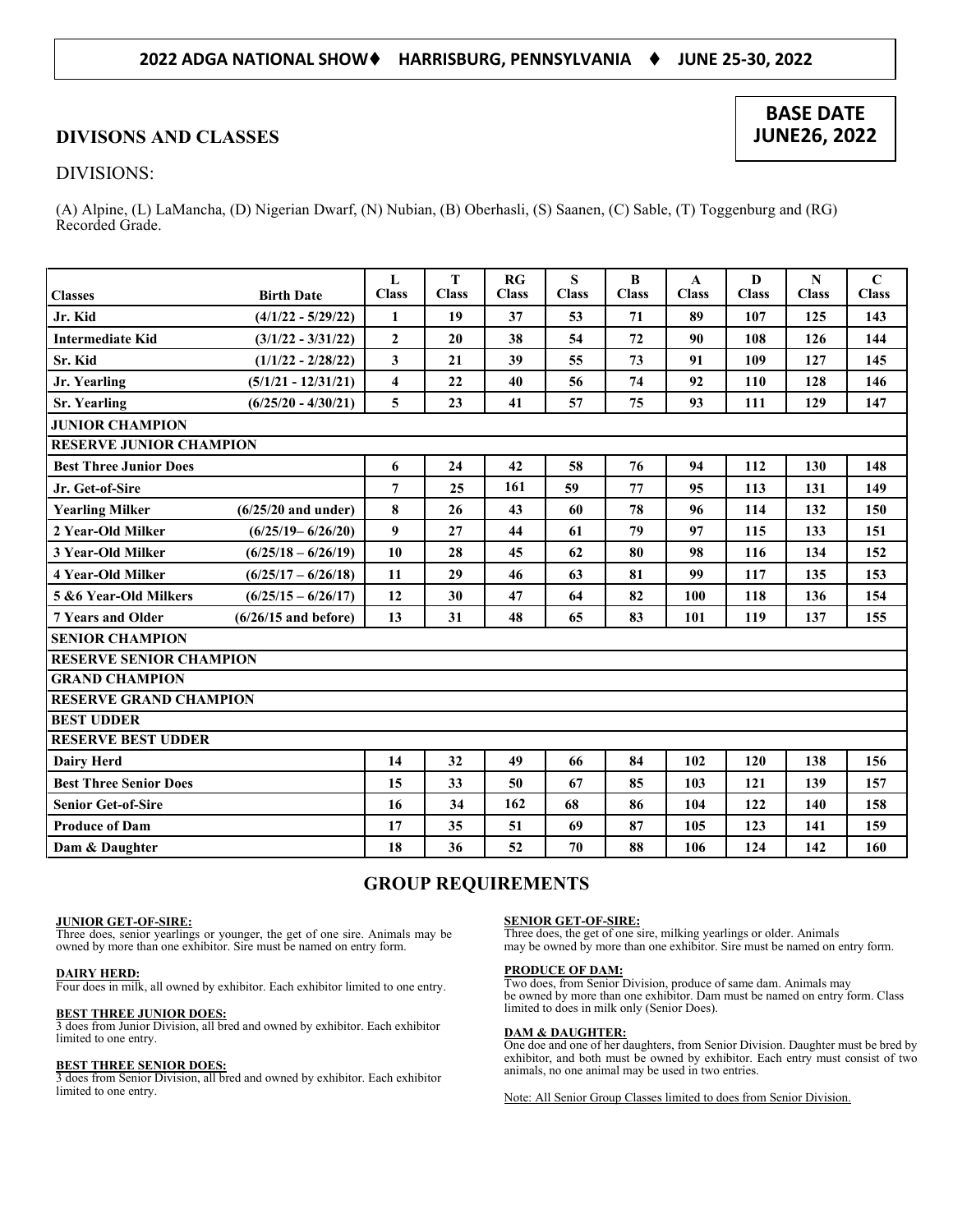### **2022 ADGA NATIONAL SHOW HARRISBURG, PENNSYLVANIA JUNE 25-30, 2022**

### **DIVISONS AND CLASSES**

### DIVISIONS:

(A) Alpine, (L) LaMancha, (D) Nigerian Dwarf, (N) Nubian, (B) Oberhasli, (S) Saanen, (C) Sable, (T) Toggenburg and (RG) Recorded Grade.

|                                |                        | $\mathbf{L}$        | T            | RG           | S            | B            | $\mathbf{A}$ | D            | $\mathbf N$  | $\mathbf C$  |
|--------------------------------|------------------------|---------------------|--------------|--------------|--------------|--------------|--------------|--------------|--------------|--------------|
| <b>Classes</b>                 | <b>Birth Date</b>      | <b>Class</b>        | <b>Class</b> | <b>Class</b> | <b>Class</b> | <b>Class</b> | <b>Class</b> | <b>Class</b> | <b>Class</b> | <b>Class</b> |
| Jr. Kid                        | $(4/1/22 - 5/29/22)$   | 1                   | 19           | 37           | 53           | 71           | 89           | 107          | 125          | 143          |
| <b>Intermediate Kid</b>        | $(3/1/22 - 3/31/22)$   | $\overline{2}$      | 20           | 38           | 54           | 72           | 90           | 108          | 126          | 144          |
| Sr. Kid                        | $(1/1/22 - 2/28/22)$   | $\mathbf{3}$        | 21           | 39           | 55           | 73           | 91           | 109          | 127          | 145          |
| Jr. Yearling                   | $(5/1/21 - 12/31/21)$  | $\overline{\bf{4}}$ | 22           | 40           | 56           | 74           | 92           | 110          | 128          | 146          |
| <b>Sr. Yearling</b>            | $(6/25/20 - 4/30/21)$  | 5                   | 23           | 41           | 57           | 75           | 93           | 111          | 129          | 147          |
| <b>JUNIOR CHAMPION</b>         |                        |                     |              |              |              |              |              |              |              |              |
| <b>RESERVE JUNIOR CHAMPION</b> |                        |                     |              |              |              |              |              |              |              |              |
| <b>Best Three Junior Does</b>  |                        | 6                   | 24           | 42           | 58           | 76           | 94           | 112          | 130          | 148          |
| Jr. Get-of-Sire                |                        | $\overline{7}$      | 25           | 161          | 59           | 77           | 95           | 113          | 131          | 149          |
| <b>Yearling Milker</b>         | $(6/25/20$ and under)  | 8                   | 26           | 43           | 60           | 78           | 96           | 114          | 132          | 150          |
| 2 Year-Old Milker              | $(6/25/19 - 6/26/20)$  | $\boldsymbol{9}$    | 27           | 44           | 61           | 79           | 97           | 115          | 133          | 151          |
| 3 Year-Old Milker              | $(6/25/18 - 6/26/19)$  | 10                  | 28           | 45           | 62           | 80           | 98           | 116          | 134          | 152          |
| <b>4 Year-Old Milker</b>       | $(6/25/17 - 6/26/18)$  | 11                  | 29           | 46           | 63           | 81           | 99           | 117          | 135          | 153          |
| 5 & 6 Year-Old Milkers         | $(6/25/15 - 6/26/17)$  | 12                  | 30           | 47           | 64           | 82           | 100          | 118          | 136          | 154          |
| <b>7 Years and Older</b>       | $(6/26/15$ and before) | 13                  | 31           | 48           | 65           | 83           | 101          | 119          | 137          | 155          |
| <b>SENIOR CHAMPION</b>         |                        |                     |              |              |              |              |              |              |              |              |
| <b>RESERVE SENIOR CHAMPION</b> |                        |                     |              |              |              |              |              |              |              |              |
| <b>GRAND CHAMPION</b>          |                        |                     |              |              |              |              |              |              |              |              |
| <b>RESERVE GRAND CHAMPION</b>  |                        |                     |              |              |              |              |              |              |              |              |
| <b>BEST UDDER</b>              |                        |                     |              |              |              |              |              |              |              |              |
| <b>RESERVE BEST UDDER</b>      |                        |                     |              |              |              |              |              |              |              |              |
| <b>Dairy Herd</b>              |                        | 14                  | 32           | 49           | 66           | 84           | 102          | 120          | 138          | 156          |
| <b>Best Three Senior Does</b>  |                        | 15                  | 33           | 50           | 67           | 85           | 103          | 121          | 139          | 157          |
| <b>Senior Get-of-Sire</b>      |                        | 16                  | 34           | 162          | 68           | 86           | 104          | 122          | 140          | 158          |
| <b>Produce of Dam</b>          |                        | 17                  | 35           | 51           | 69           | 87           | 105          | 123          | 141          | 159          |
| Dam & Daughter                 |                        | 18                  | 36           | 52           | 70           | 88           | 106          | 124          | 142          | 160          |

### **GROUP REQUIREMENTS**

### **JUNIOR GET-OF-SIRE:**

Three does, senior yearlings or younger, the get of one sire. Animals may be owned by more than one exhibitor. Sire must be named on entry form.

### **DAIRY HERD:**

Four does in milk, all owned by exhibitor. Each exhibitor limited to one entry.

### **BEST THREE JUNIOR DOES:**

3 does from Junior Division, all bred and owned by exhibitor. Each exhibitor limited to one entry.

### **BEST THREE SENIOR DOES:**

3 does from Senior Division, all bred and owned by exhibitor. Each exhibitor limited to one entry.

#### **SENIOR GET-OF-SIRE:**

Three does, the get of one sire, milking yearlings or older. Animals may be owned by more than one exhibitor. Sire must be named on entry form.

#### **PRODUCE OF DAM:**

Two does, from Senior Division, produce of same dam. Animals may be owned by more than one exhibitor. Dam must be named on entry form. Class limited to does in milk only (Senior Does).

#### **DAM & DAUGHTER:**

One doe and one of her daughters, from Senior Division. Daughter must be bred by exhibitor, and both must be owned by exhibitor. Each entry must consist of two animals, no one animal may be used in two entries.

Note: All Senior Group Classes limited to does from Senior Division.

### **BASE DATE JUNE26, 2022**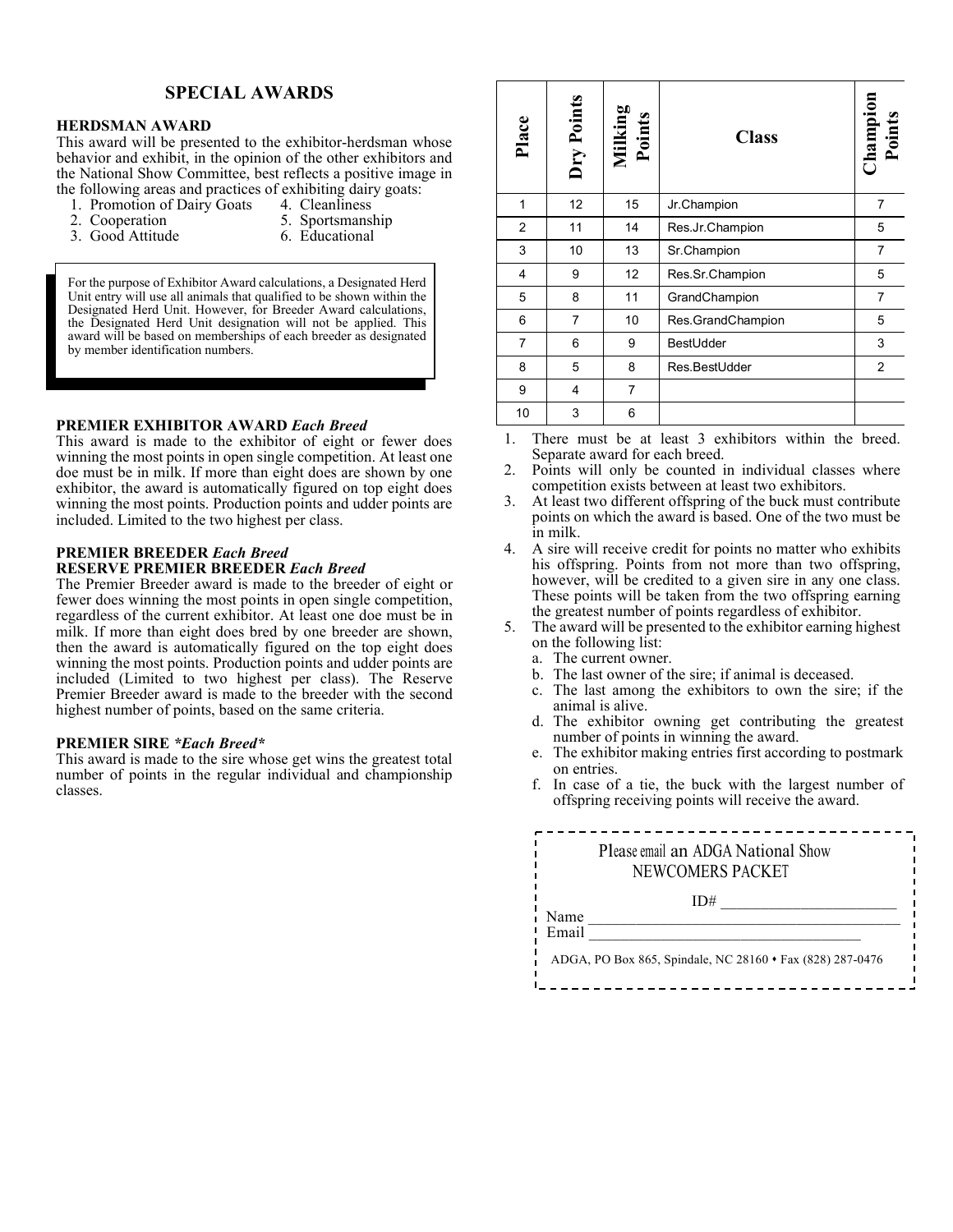### **SPECIAL AWARDS**

### **HERDSMAN AWARD**

This award will be presented to the exhibitor-herdsman whose behavior and exhibit, in the opinion of the other exhibitors and the National Show Committee, best reflects a positive image in the following areas and practices of exhibiting dairy goats:<br>1. Promotion of Dairy Goats 4. Cleanliness

- 1. Promotion of Dairy Goats<br>2. Cooperation
- 
- 
- 3. Good Attitude
- 5. Sportsmanship<br>6. Educational

For the purpose of Exhibitor Award calculations, a Designated Herd Unit entry will use all animals that qualified to be shown within the Designated Herd Unit. However, for Breeder Award calculations, the Designated Herd Unit designation will not be applied. This award will be based on memberships of each breeder as designated by member identification numbers.

### **PREMIER EXHIBITOR AWARD** *Each Breed*

This award is made to the exhibitor of eight or fewer does winning the most points in open single competition. At least one doe must be in milk. If more than eight does are shown by one exhibitor, the award is automatically figured on top eight does winning the most points. Production points and udder points are included. Limited to the two highest per class.

### **PREMIER BREEDER** *Each Breed* **RESERVE PREMIER BREEDER** *Each Breed*

The Premier Breeder award is made to the breeder of eight or fewer does winning the most points in open single competition, regardless of the current exhibitor. At least one doe must be in milk. If more than eight does bred by one breeder are shown, then the award is automatically figured on the top eight does winning the most points. Production points and udder points are included (Limited to two highest per class). The Reserve Premier Breeder award is made to the breeder with the second highest number of points, based on the same criteria.

### **PREMIER SIRE** *\*Each Breed\**

This award is made to the sire whose get wins the greatest total number of points in the regular individual and championship classes.

| Place          | Dry Points      | Milking<br>Points | <b>Class</b>      | <b>Champion</b><br><b>Points</b> |
|----------------|-----------------|-------------------|-------------------|----------------------------------|
| 1              | 12 <sup>2</sup> | 15                | Jr.Champion       | 7                                |
| 2              | 11              | 14                | Res.Jr.Champion   | 5                                |
| 3              | 10              | 13                | Sr.Champion       | $\overline{7}$                   |
| $\overline{4}$ | 9               | 12                | Res.Sr.Champion   | 5                                |
| 5              | 8               | 11                | GrandChampion     | $\overline{7}$                   |
| 6              | $\overline{7}$  | 10                | Res.GrandChampion | 5                                |
| $\overline{7}$ | 6               | 9                 | BestUdder         | 3                                |
| 8              | 5               | 8                 | Res.BestUdder     | $\overline{2}$                   |
| 9              | 4               | 7                 |                   |                                  |
| 10             | 3               | 6                 |                   |                                  |

1. There must be at least 3 exhibitors within the breed. Separate award for each breed.

- 2. Points will only be counted in individual classes where competition exists between at least two exhibitors.
- 3. At least two different offspring of the buck must contribute points on which the award is based. One of the two must be in milk.
- 4. A sire will receive credit for points no matter who exhibits his offspring. Points from not more than two offspring, however, will be credited to a given sire in any one class. These points will be taken from the two offspring earning the greatest number of points regardless of exhibitor.
- 5. The award will be presented to the exhibitor earning highest on the following list:
	- a. The current owner.
	- b. The last owner of the sire; if animal is deceased.
	- c. The last among the exhibitors to own the sire; if the animal is alive.
	- d. The exhibitor owning get contributing the greatest number of points in winning the award.
	- e. The exhibitor making entries first according to postmark on entries.
	- f. In case of a tie, the buck with the largest number of offspring receiving points will receive the award.

|       | Please email an ADGA National Show<br>NEWCOMERS PACKET |
|-------|--------------------------------------------------------|
| Name  | ID#                                                    |
| Email |                                                        |